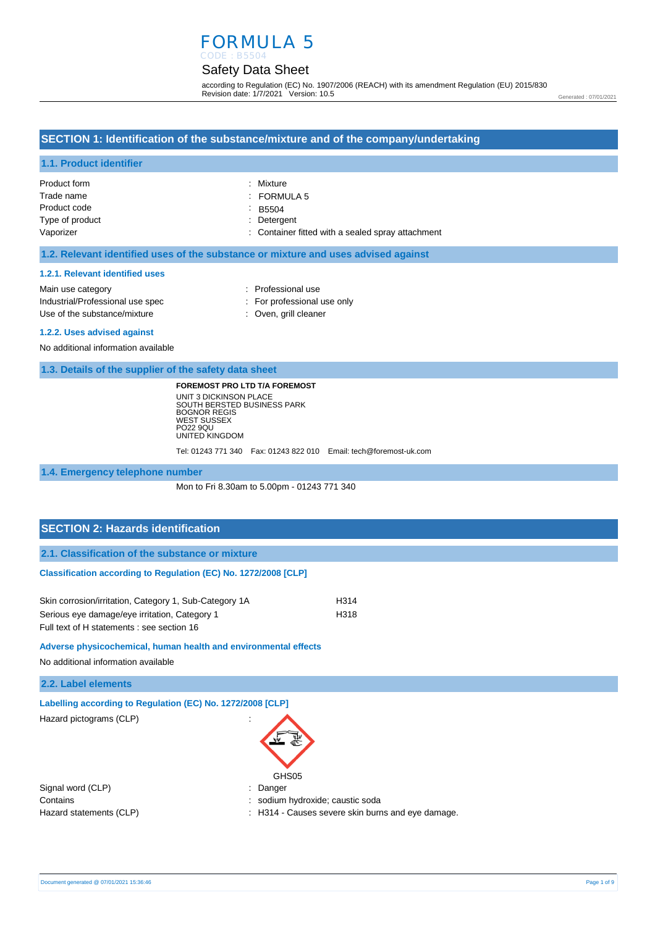# FORMULA 5

# Safety Data Sheet

according to Regulation (EC) No. 1907/2006 (REACH) with its amendment Regulation (EU) 2015/830 Revision date: 1/7/2021 Version: 10.5

#### Generated : 07/01/2021

## **SECTION 1: Identification of the substance/mixture and of the company/undertaking**

#### **1.1. Product identifier**

| Product form    | : Mixture                                         |
|-----------------|---------------------------------------------------|
| Trade name      | $:$ FORMULA 5                                     |
| Product code    | B5504                                             |
| Type of product | : Detergent                                       |
| Vaporizer       | : Container fitted with a sealed spray attachment |

#### **1.2. Relevant identified uses of the substance or mixture and uses advised against**

#### **1.2.1. Relevant identified uses**

Main use category **Example 20** and 20 and 20 and 20 and 20 and 20 and 20 and 20 and 20 and 20 and 20 and 20 and 20 and 20 and 20 and 20 and 20 and 20 and 20 and 20 and 20 and 20 and 20 and 20 and 20 and 20 and 20 and 20 an Industrial/Professional use spec : For professional use only Use of the substance/mixture in the substance/mixture in the substance of the substance of the substance of the substance of the substance of the substance of the substance of the substance of the substance of the substanc

#### **1.2.2. Uses advised against**

No additional information available

#### **1.3. Details of the supplier of the safety data sheet**

**FOREMOST PRO LTD T/A FOREMOST**

UNIT 3 DICKINSON PLACE SOUTH BERSTED BUSINESS PARK BOGNOR REGIS WEST SUSSEX PO22 9QU UNITED KINGDOM

Tel: 01243 771 340 Fax: 01243 822 010 Email: tech@foremost-uk.com

#### **1.4. Emergency telephone number**

Mon to Fri 8.30am to 5.00pm - 01243 771 340

## **SECTION 2: Hazards identification**

**2.1. Classification of the substance or mixture**

#### **Classification according to Regulation (EC) No. 1272/2008 [CLP]**

| Skin corrosion/irritation, Category 1, Sub-Category 1A | H314 |
|--------------------------------------------------------|------|
| Serious eye damage/eye irritation, Category 1          | H318 |
| Full text of H statements : see section 16             |      |

**Adverse physicochemical, human health and environmental effects** 

No additional information available

| 2.2. Label elements |  |  |  |  |  |
|---------------------|--|--|--|--|--|
|---------------------|--|--|--|--|--|

| Labelling according to Regulation (EC) No. 1272/2008 [CLP] |  |  |  |  |  |  |
|------------------------------------------------------------|--|--|--|--|--|--|
|------------------------------------------------------------|--|--|--|--|--|--|

Hazard pictograms (CLP) :



Signal word (CLP)  $\qquad \qquad$ : Danger

Contains : sodium hydroxide; caustic soda

Hazard statements (CLP)  $\qquad \qquad$ : H314 - Causes severe skin burns and eye damage.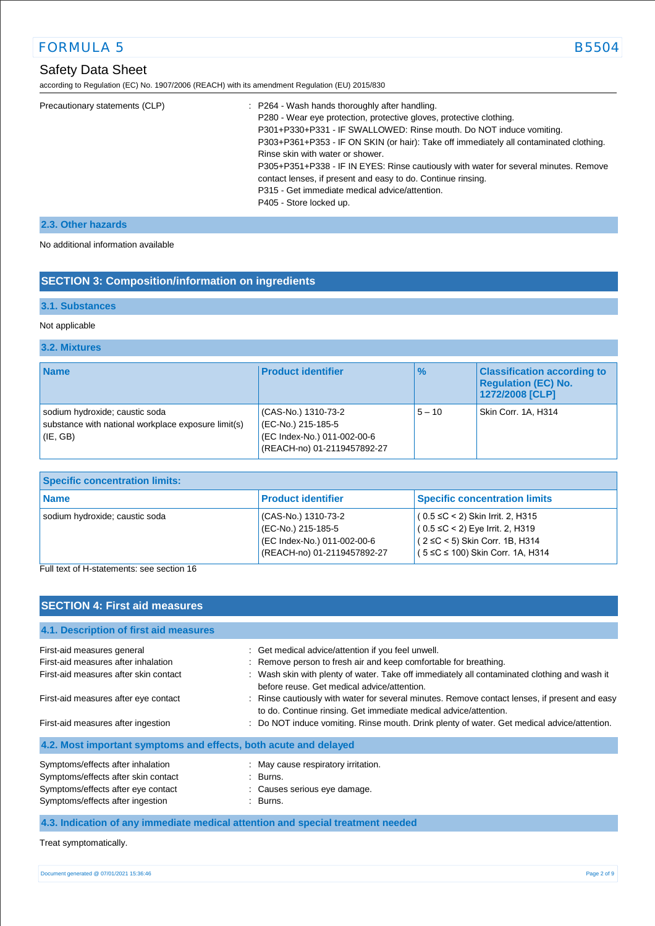# Safety Data Sheet

according to Regulation (EC) No. 1907/2006 (REACH) with its amendment Regulation (EU) 2015/830

| Precautionary statements (CLP) | : P264 - Wash hands thoroughly after handling.<br>P280 - Wear eye protection, protective gloves, protective clothing.<br>P301+P330+P331 - IF SWALLOWED: Rinse mouth. Do NOT induce vomiting.<br>P303+P361+P353 - IF ON SKIN (or hair): Take off immediately all contaminated clothing.<br>Rinse skin with water or shower.<br>P305+P351+P338 - IF IN EYES: Rinse cautiously with water for several minutes. Remove<br>contact lenses, if present and easy to do. Continue rinsing.<br>P315 - Get immediate medical advice/attention.<br>P405 - Store locked up. |
|--------------------------------|-----------------------------------------------------------------------------------------------------------------------------------------------------------------------------------------------------------------------------------------------------------------------------------------------------------------------------------------------------------------------------------------------------------------------------------------------------------------------------------------------------------------------------------------------------------------|
|--------------------------------|-----------------------------------------------------------------------------------------------------------------------------------------------------------------------------------------------------------------------------------------------------------------------------------------------------------------------------------------------------------------------------------------------------------------------------------------------------------------------------------------------------------------------------------------------------------------|

## **2.3. Other hazards**

No additional information available

## **SECTION 3: Composition/information on ingredients**

## **3.1. Substances**

#### Not applicable

### **3.2. Mixtures**

| <b>Name</b>                                                                                           | <b>Product identifier</b>                                                                               | $\%$     | <b>Classification according to</b><br><b>Regulation (EC) No.</b><br>1272/2008 [CLP] |
|-------------------------------------------------------------------------------------------------------|---------------------------------------------------------------------------------------------------------|----------|-------------------------------------------------------------------------------------|
| sodium hydroxide; caustic soda<br>substance with national workplace exposure limit(s)<br>$ $ (IE, GB) | (CAS-No.) 1310-73-2<br>(EC-No.) 215-185-5<br>(EC Index-No.) 011-002-00-6<br>(REACH-no) 01-2119457892-27 | $5 - 10$ | Skin Corr. 1A, H314                                                                 |

| <b>Specific concentration limits:</b> |                                                                                                         |                                                                                                                                                           |  |
|---------------------------------------|---------------------------------------------------------------------------------------------------------|-----------------------------------------------------------------------------------------------------------------------------------------------------------|--|
| <b>Name</b>                           | <b>Product identifier</b>                                                                               | <b>Specific concentration limits</b>                                                                                                                      |  |
| sodium hydroxide; caustic soda        | (CAS-No.) 1310-73-2<br>(EC-No.) 215-185-5<br>(EC Index-No.) 011-002-00-6<br>(REACH-no) 01-2119457892-27 | $(0.5 ≤ C < 2)$ Skin Irrit. 2, H315<br>$(0.5 ≤ C < 2)$ Eye Irrit. 2, H319<br>$(2 ≤ C < 5)$ Skin Corr. 1B, H314<br>$(5 \le C \le 100)$ Skin Corr. 1A, H314 |  |

Full text of H-statements: see section 16

## **SECTION 4: First aid measures**

| 4.1. Description of first aid measures                                                                                                             |                                                                                                                                                                   |
|----------------------------------------------------------------------------------------------------------------------------------------------------|-------------------------------------------------------------------------------------------------------------------------------------------------------------------|
| First-aid measures general                                                                                                                         | : Get medical advice/attention if you feel unwell.                                                                                                                |
| First-aid measures after inhalation                                                                                                                | : Remove person to fresh air and keep comfortable for breathing.                                                                                                  |
| First-aid measures after skin contact                                                                                                              | : Wash skin with plenty of water. Take off immediately all contaminated clothing and wash it<br>before reuse. Get medical advice/attention.                       |
| First-aid measures after eye contact                                                                                                               | : Rinse cautiously with water for several minutes. Remove contact lenses, if present and easy<br>to do. Continue rinsing. Get immediate medical advice/attention. |
| First-aid measures after ingestion                                                                                                                 | : Do NOT induce vomiting. Rinse mouth. Drink plenty of water. Get medical advice/attention.                                                                       |
| 4.2. Most important symptoms and effects, both acute and delayed                                                                                   |                                                                                                                                                                   |
| Symptoms/effects after inhalation<br>Symptoms/effects after skin contact<br>Symptoms/effects after eye contact<br>Symptoms/effects after ingestion | : May cause respiratory irritation.<br>: Burns.<br>: Causes serious eye damage.<br>: Burns.                                                                       |

## **4.3. Indication of any immediate medical attention and special treatment needed**

Treat symptomatically.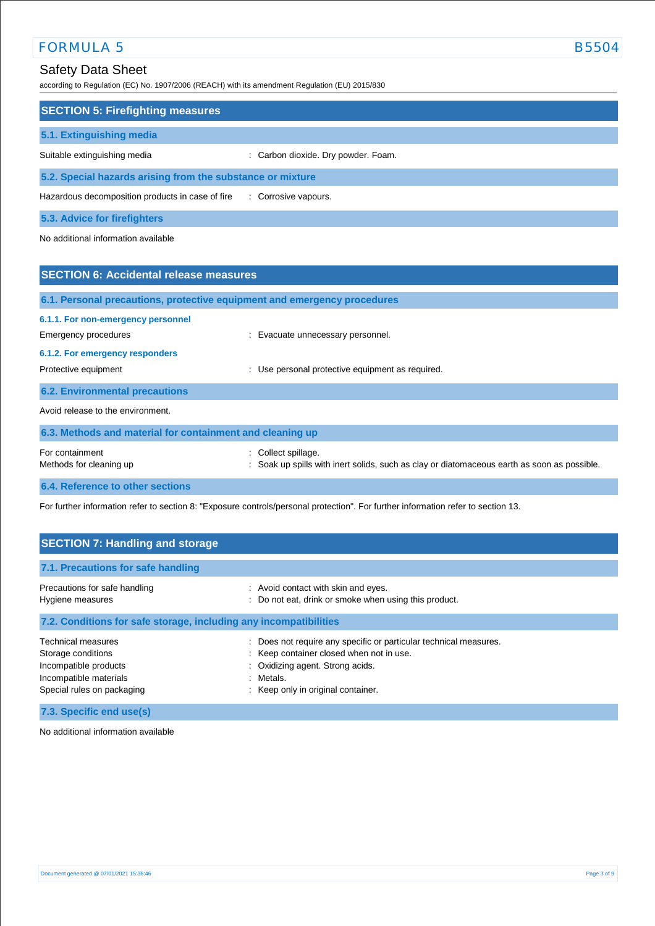# Safety Data Sheet

according to Regulation (EC) No. 1907/2006 (REACH) with its amendment Regulation (EU) 2015/830

| <b>SECTION 5: Firefighting measures</b>                    |                                     |
|------------------------------------------------------------|-------------------------------------|
| 5.1. Extinguishing media                                   |                                     |
| Suitable extinguishing media                               | : Carbon dioxide. Dry powder. Foam. |
| 5.2. Special hazards arising from the substance or mixture |                                     |
| Hazardous decomposition products in case of fire           | : Corrosive vapours.                |
| 5.3. Advice for firefighters                               |                                     |

No additional information available

| <b>SECTION 6: Accidental release measures</b>                                                                                                                                                                  |                                                                                                                    |  |
|----------------------------------------------------------------------------------------------------------------------------------------------------------------------------------------------------------------|--------------------------------------------------------------------------------------------------------------------|--|
| 6.1. Personal precautions, protective equipment and emergency procedures                                                                                                                                       |                                                                                                                    |  |
| 6.1.1. For non-emergency personnel<br>Emergency procedures<br>: Evacuate unnecessary personnel.<br>6.1.2. For emergency responders<br>: Use personal protective equipment as required.<br>Protective equipment |                                                                                                                    |  |
| <b>6.2. Environmental precautions</b>                                                                                                                                                                          |                                                                                                                    |  |
| Avoid release to the environment.                                                                                                                                                                              |                                                                                                                    |  |
| 6.3. Methods and material for containment and cleaning up                                                                                                                                                      |                                                                                                                    |  |
| For containment<br>Methods for cleaning up                                                                                                                                                                     | : Collect spillage.<br>: Soak up spills with inert solids, such as clay or diatomaceous earth as soon as possible. |  |
| 6.4. Reference to other sections                                                                                                                                                                               |                                                                                                                    |  |

For further information refer to section 8: "Exposure controls/personal protection". For further information refer to section 13.

| <b>SECTION 7: Handling and storage</b>                                                                                                                                                               |  |  |  |
|------------------------------------------------------------------------------------------------------------------------------------------------------------------------------------------------------|--|--|--|
|                                                                                                                                                                                                      |  |  |  |
| : Avoid contact with skin and eyes.<br>: Do not eat, drink or smoke when using this product.                                                                                                         |  |  |  |
| 7.2. Conditions for safe storage, including any incompatibilities                                                                                                                                    |  |  |  |
| : Does not require any specific or particular technical measures.<br>: Keep container closed when not in use.<br>: Oxidizing agent. Strong acids.<br>: Metals.<br>: Keep only in original container. |  |  |  |
|                                                                                                                                                                                                      |  |  |  |

**7.3. Specific end use(s)**

No additional information available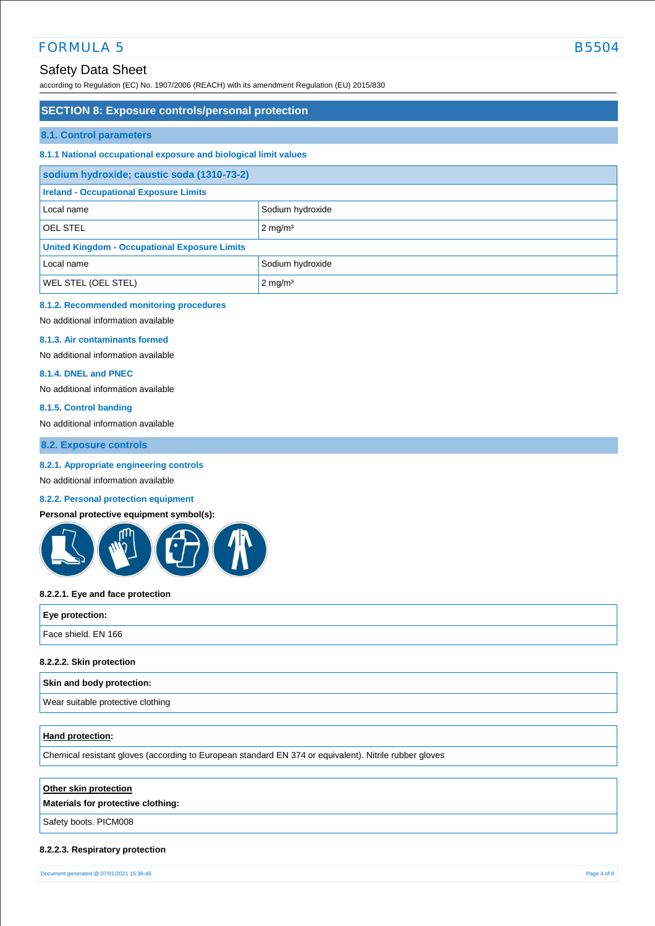## Safety Data Sheet

according to Regulation (EC) No. 1907/2006 (REACH) with its amendment Regulation (EU) 2015/830

### **SECTION 8: Exposure controls/personal protection**

#### **8.1. Control parameters**

#### **8.1.1 National occupational exposure and biological limit values**

| sodium hydroxide; caustic soda (1310-73-2)           |                       |  |
|------------------------------------------------------|-----------------------|--|
| <b>Ireland - Occupational Exposure Limits</b>        |                       |  |
| Local name                                           | Sodium hydroxide      |  |
| <b>OEL STEL</b>                                      | $2 \text{ mg/m}^3$    |  |
| <b>United Kingdom - Occupational Exposure Limits</b> |                       |  |
| Local name                                           | Sodium hydroxide      |  |
| <b>WEL STEL (OEL STEL)</b>                           | $2$ mg/m <sup>3</sup> |  |

## **8.1.2. Recommended monitoring procedures**

No additional information available

#### **8.1.3. Air contaminants formed**

No additional information available

#### **8.1.4. DNEL and PNEC**

No additional information available

#### **8.1.5. Control banding**

No additional information available

### **8.2. Exposure controls**

#### **8.2.1. Appropriate engineering controls**

No additional information available

## **8.2.2. Personal protection equipment**

#### **Personal protective equipment symbol(s):**



#### **8.2.2.1. Eye and face protection**

| Eye protection:     |  |
|---------------------|--|
| Face shield. EN 166 |  |
|                     |  |

#### **8.2.2.2. Skin protection**

#### **Skin and body protection:**

Wear suitable protective clothing

#### **Hand protection:**

Chemical resistant gloves (according to European standard EN 374 or equivalent). Nitrile rubber gloves

## **Other skin protection**

### **Materials for protective clothing:**

Safety boots. PICM008

#### **8.2.2.3. Respiratory protection**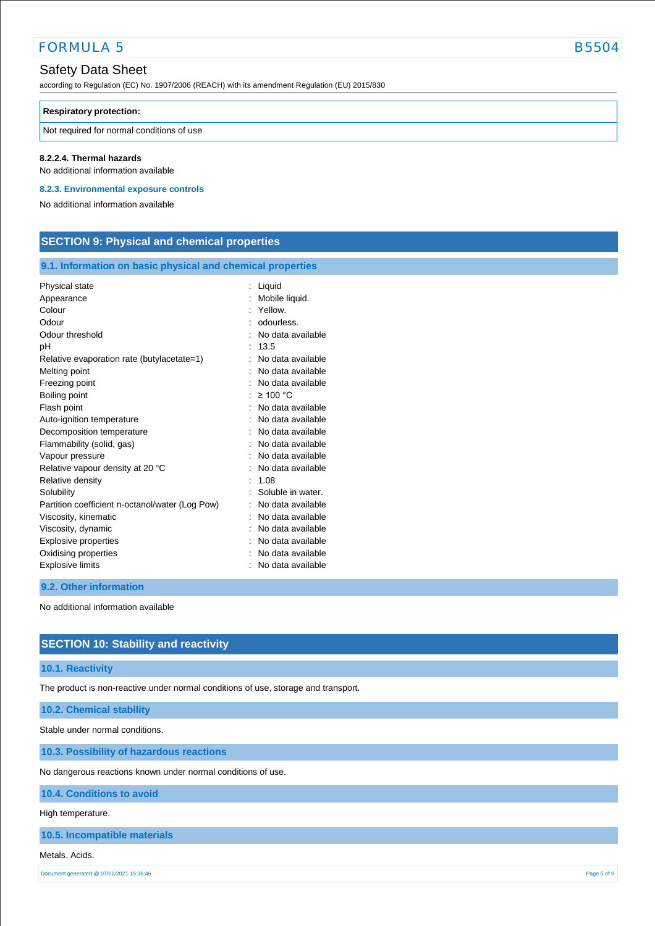according to Regulation (EC) No. 1907/2006 (REACH) with its amendment Regulation (EU) 2015/830

#### **Respiratory protection:**

Not required for normal conditions of use

#### **8.2.2.4. Thermal hazards**

No additional information available

**8.2.3. Environmental exposure controls** 

No additional information available

## **SECTION 9: Physical and chemical properties**

### **9.1. Information on basic physical and chemical properties**

| Physical state                                  | Liquid            |
|-------------------------------------------------|-------------------|
| Appearance                                      | Mobile liquid.    |
| Colour                                          | Yellow.           |
| Odour                                           | odourless.        |
| Odour threshold                                 | No data available |
| рH                                              | 13.5              |
| Relative evaporation rate (butylacetate=1)      | No data available |
| Melting point                                   | No data available |
| Freezing point                                  | No data available |
| Boiling point                                   | $\geq 100$ °C     |
| Flash point                                     | No data available |
| Auto-ignition temperature                       | No data available |
| Decomposition temperature                       | No data available |
| Flammability (solid, gas)                       | No data available |
| Vapour pressure                                 | No data available |
| Relative vapour density at 20 °C                | No data available |
| Relative density                                | 1.08              |
| Solubility                                      | Soluble in water. |
| Partition coefficient n-octanol/water (Log Pow) | No data available |
| Viscosity, kinematic                            | No data available |
| Viscosity, dynamic                              | No data available |
| <b>Explosive properties</b>                     | No data available |
| Oxidising properties                            | No data available |
| <b>Explosive limits</b>                         | No data available |

#### **9.2. Other information**

No additional information available

## **SECTION 10: Stability and reactivity**

### **10.1. Reactivity**

The product is non-reactive under normal conditions of use, storage and transport.

#### **10.2. Chemical stability**

Stable under normal conditions.

**10.3. Possibility of hazardous reactions**

No dangerous reactions known under normal conditions of use.

**10.4. Conditions to avoid**

### High temperature.

**10.5. Incompatible materials**

#### Metals. Acids.

Document generated @ 07/01/2021 15:36:46 Page 5 of 9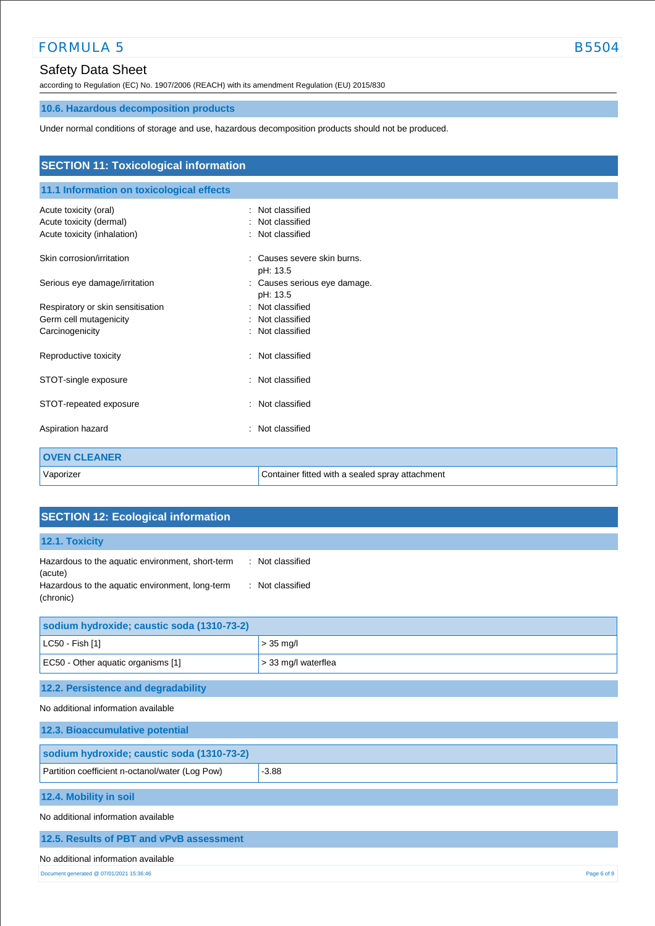# Safety Data Sheet

according to Regulation (EC) No. 1907/2006 (REACH) with its amendment Regulation (EU) 2015/830

# **10.6. Hazardous decomposition products**

Under normal conditions of storage and use, hazardous decomposition products should not be produced.

| <b>SECTION 11: Toxicological information</b> |                                                 |  |  |
|----------------------------------------------|-------------------------------------------------|--|--|
| 11.1 Information on toxicological effects    |                                                 |  |  |
| Acute toxicity (oral)                        | : Not classified                                |  |  |
| Acute toxicity (dermal)                      | Not classified                                  |  |  |
| Acute toxicity (inhalation)                  | : Not classified                                |  |  |
| Skin corrosion/irritation                    | Causes severe skin burns.                       |  |  |
|                                              | pH: 13.5                                        |  |  |
| Serious eye damage/irritation                | Causes serious eye damage.<br>÷                 |  |  |
|                                              | pH: 13.5                                        |  |  |
| Respiratory or skin sensitisation            | Not classified<br>٠.                            |  |  |
| Germ cell mutagenicity                       | Not classified                                  |  |  |
| Carcinogenicity                              | Not classified                                  |  |  |
| Reproductive toxicity                        | : Not classified                                |  |  |
| STOT-single exposure                         | Not classified<br>÷                             |  |  |
| STOT-repeated exposure                       | : Not classified                                |  |  |
| Aspiration hazard                            | Not classified                                  |  |  |
| <b>OVEN CLEANER</b>                          |                                                 |  |  |
| Vaporizer                                    | Container fitted with a sealed spray attachment |  |  |

| <b>SECTION 12: Ecological information</b>                                                                                                                           |                     |  |
|---------------------------------------------------------------------------------------------------------------------------------------------------------------------|---------------------|--|
| 12.1. Toxicity                                                                                                                                                      |                     |  |
| : Not classified<br>Hazardous to the aquatic environment, short-term<br>(acute)<br>Hazardous to the aquatic environment, long-term<br>: Not classified<br>(chronic) |                     |  |
| sodium hydroxide; caustic soda (1310-73-2)                                                                                                                          |                     |  |
| LC50 - Fish [1]                                                                                                                                                     | $> 35$ mg/l         |  |
| EC50 - Other aquatic organisms [1]                                                                                                                                  | > 33 mg/l waterflea |  |
| 12.2. Persistence and degradability                                                                                                                                 |                     |  |
| No additional information available                                                                                                                                 |                     |  |
| 12.3. Bioaccumulative potential                                                                                                                                     |                     |  |
| sodium hydroxide; caustic soda (1310-73-2)                                                                                                                          |                     |  |
| Partition coefficient n-octanol/water (Log Pow)                                                                                                                     | $-3.88$             |  |
| 12.4. Mobility in soil                                                                                                                                              |                     |  |
| No additional information available                                                                                                                                 |                     |  |
| 12.5. Results of PBT and vPvB assessment                                                                                                                            |                     |  |
| No additional information available                                                                                                                                 |                     |  |
| Document generated @ 07/01/2021 15:36:46<br>Page 6 of 9                                                                                                             |                     |  |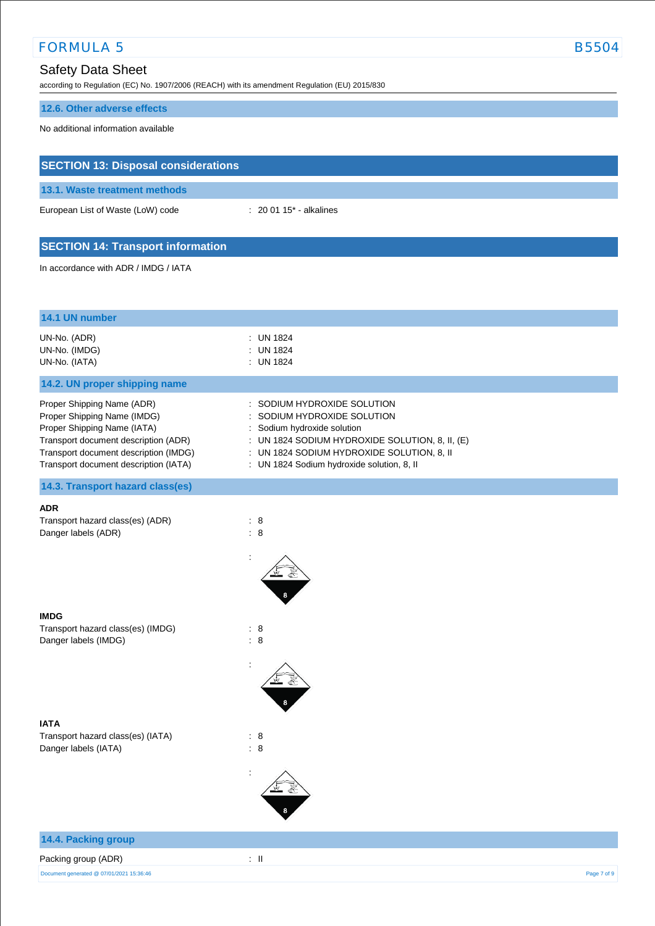# Safety Data Sheet

according to Regulation (EC) No. 1907/2006 (REACH) with its amendment Regulation (EU) 2015/830

## **12.6. Other adverse effects**

No additional information available

**SECTION 13: Disposal considerations**

| $: 200115$ - alkalines                                                                                                                                                                                                             |
|------------------------------------------------------------------------------------------------------------------------------------------------------------------------------------------------------------------------------------|
|                                                                                                                                                                                                                                    |
|                                                                                                                                                                                                                                    |
|                                                                                                                                                                                                                                    |
| : UN 1824<br><b>UN 1824</b><br>: UN 1824                                                                                                                                                                                           |
|                                                                                                                                                                                                                                    |
| SODIUM HYDROXIDE SOLUTION<br>SODIUM HYDROXIDE SOLUTION<br>Sodium hydroxide solution<br>: UN 1824 SODIUM HYDROXIDE SOLUTION, 8, II, (E)<br>: UN 1824 SODIUM HYDROXIDE SOLUTION, 8, II<br>: UN 1824 Sodium hydroxide solution, 8, II |
|                                                                                                                                                                                                                                    |
| $\therefore$ 8<br>: 8<br>Î,                                                                                                                                                                                                        |
| : 8<br>: 8<br>$\ddot{\cdot}$                                                                                                                                                                                                       |
| $\therefore$ 8<br>$\therefore$ 8                                                                                                                                                                                                   |
|                                                                                                                                                                                                                                    |

## **14.4. Packing group**

# Packing group (ADR) : II

Document generated @ 07/01/2021 15:36:46 Page 7 of 9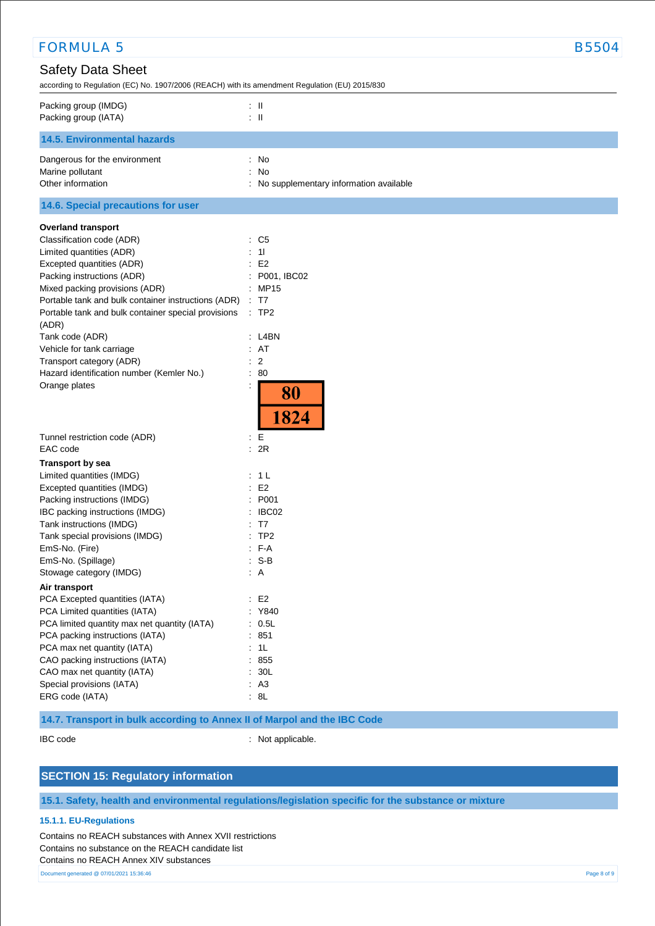| <b>FORMULA 5</b>                                                                                                           | <b>B5504</b>                             |
|----------------------------------------------------------------------------------------------------------------------------|------------------------------------------|
| <b>Safety Data Sheet</b><br>according to Regulation (EC) No. 1907/2006 (REACH) with its amendment Regulation (EU) 2015/830 |                                          |
| Packing group (IMDG)<br>Packing group (IATA)                                                                               | : II<br>$\therefore$ $\parallel$         |
| <b>14.5. Environmental hazards</b>                                                                                         |                                          |
| Dangerous for the environment                                                                                              | : No                                     |
| Marine pollutant                                                                                                           | : No                                     |
| Other information                                                                                                          | : No supplementary information available |
| 14.6. Special precautions for user                                                                                         |                                          |
| <b>Overland transport</b>                                                                                                  |                                          |
| Classification code (ADR)                                                                                                  | : C5                                     |
| Limited quantities (ADR)                                                                                                   | : 11                                     |
| Excepted quantities (ADR)                                                                                                  | E <sub>2</sub>                           |
| Packing instructions (ADR)                                                                                                 | : P001, IBC02                            |
| Mixed packing provisions (ADR)                                                                                             | : MP15                                   |
| Portable tank and bulk container instructions (ADR)                                                                        | : T7                                     |
| Portable tank and bulk container special provisions<br>(ADR)                                                               | :TP2                                     |
| Tank code (ADR)                                                                                                            | : L4BN                                   |
| Vehicle for tank carriage                                                                                                  | : AT                                     |
| Transport category (ADR)                                                                                                   | $\therefore$ 2                           |
| Hazard identification number (Kemler No.)                                                                                  | : 80                                     |
| Orange plates                                                                                                              | 80<br>1824                               |
| Tunnel restriction code (ADR)                                                                                              | : E                                      |
| EAC code                                                                                                                   | : 2R                                     |
| <b>Transport by sea</b>                                                                                                    |                                          |
| Limited quantities (IMDG)                                                                                                  | : 1 L                                    |
| Excepted quantities (IMDG)                                                                                                 | E <sub>2</sub>                           |
| Packing instructions (IMDG)                                                                                                | : P001                                   |
| IBC packing instructions (IMDG)                                                                                            | : IBCO2                                  |
| Tank instructions (IMDG)                                                                                                   | : T7                                     |
| Tank special provisions (IMDG)                                                                                             | :TP2                                     |
| EmS-No. (Fire)                                                                                                             | $: F-A$                                  |
| EmS-No. (Spillage)                                                                                                         | $: S-B$                                  |
| Stowage category (IMDG)                                                                                                    | $\therefore$ A                           |
| Air transport                                                                                                              |                                          |
| PCA Excepted quantities (IATA)                                                                                             | E2                                       |
| PCA Limited quantities (IATA)                                                                                              | : Y840                                   |
| PCA limited quantity max net quantity (IATA)                                                                               | : 0.5L                                   |
| PCA packing instructions (IATA)                                                                                            | : 851                                    |
| PCA max net quantity (IATA)                                                                                                | : 1L                                     |
| CAO packing instructions (IATA)                                                                                            | : 855                                    |
| CAO max net quantity (IATA)                                                                                                | : 30L                                    |
| Special provisions (IATA)                                                                                                  | : A3                                     |
| ERG code (IATA)                                                                                                            | : 8L                                     |

## **14.7. Transport in bulk according to Annex II of Marpol and the IBC Code**

IBC code : Not applicable.

## **SECTION 15: Regulatory information**

**15.1. Safety, health and environmental regulations/legislation specific for the substance or mixture**

#### **15.1.1. EU-Regulations**

Contains no REACH substances with Annex XVII restrictions Contains no substance on the REACH candidate list Contains no REACH Annex XIV substances